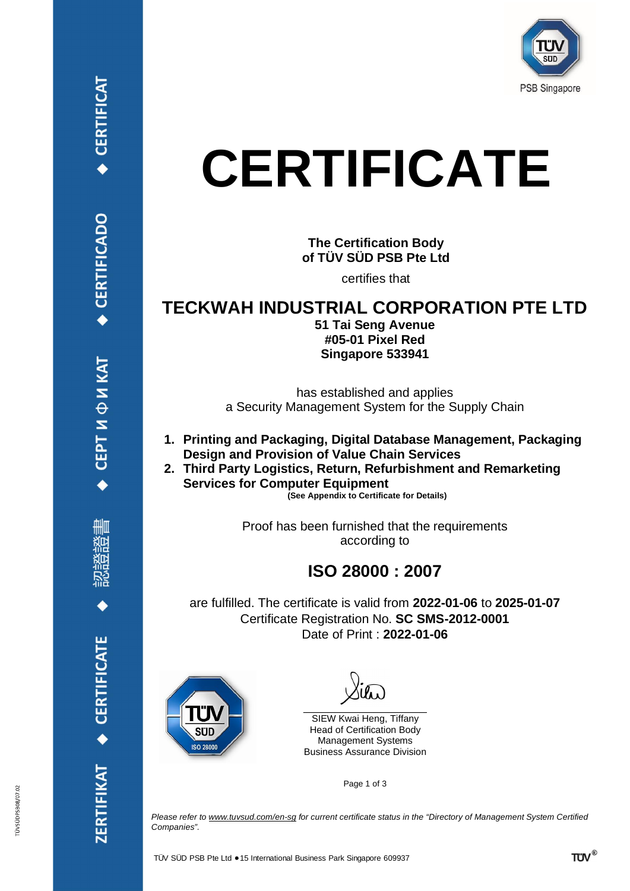

# **CERTIFICATE**

### **The Certification Body of TÜV SÜD PSB Pte Ltd**

certifies that

### **TECKWAH INDUSTRIAL CORPORATION PTE LTD**

**51 Tai Seng Avenue #05-01 Pixel Red Singapore 533941**

has established and applies a Security Management System for the Supply Chain

- **1. Printing and Packaging, Digital Database Management, Packaging Design and Provision of Value Chain Services**
- **2. Third Party Logistics, Return, Refurbishment and Remarketing Services for Computer Equipment**

**(See Appendix to Certificate for Details)**

Proof has been furnished that the requirements according to

### **ISO 28000 : 2007**

are fulfilled. The certificate is valid from **2022-01-06** to **2025-01-07** Certificate Registration No. **SC SMS-2012-0001** Date of Print : **2022-01-06**



\_\_\_\_\_\_\_\_\_\_\_\_\_\_\_\_\_\_\_\_\_\_\_\_\_\_\_\_\_\_\_\_\_\_\_ SIEW Kwai Heng, Tiffany Head of Certification Body Management Systems Business Assurance Division

Page 1 of 3

*Please refer to [www.tuvsud.com/en-sg](http://www.tuvsud.com/en-sg) for current certificate status in the "Directory of Management System Certified Companies".*

СЕРТИФИКАТ

ZERTIFIKAT · CERTIFICATE

**CERTIFICAT** 

ÜVSÜDPSB08/07.02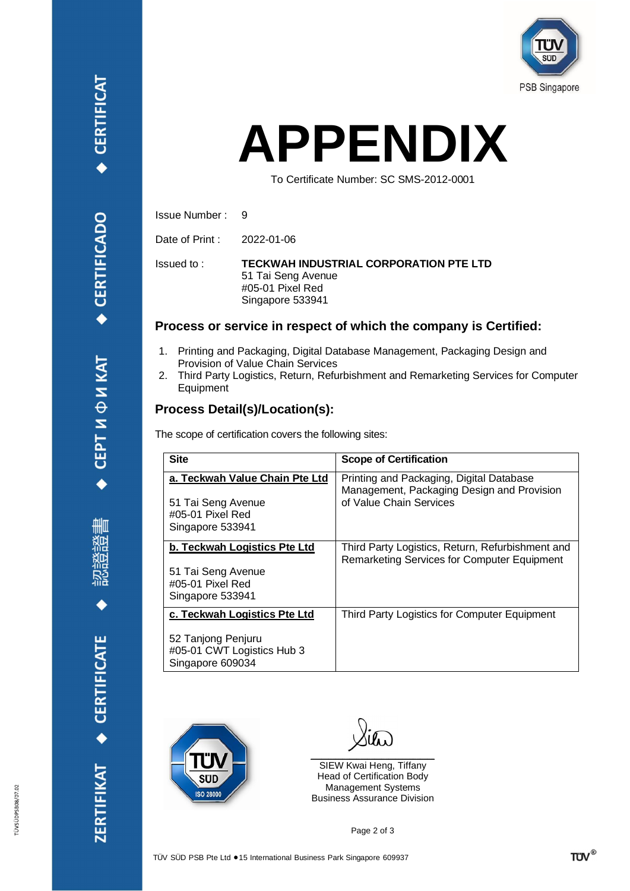

## **APPENDIX**

To Certificate Number: SC SMS-2012-0001

Issue Number : 9

Date of Print : 2022-01-06

Issued to :

**TECKWAH INDUSTRIAL CORPORATION PTE LTD** 51 Tai Seng Avenue #05-01 Pixel Red Singapore 533941

#### **Process or service in respect of which the company is Certified:**

- 1. Printing and Packaging, Digital Database Management, Packaging Design and Provision of Value Chain Services
- 2. Third Party Logistics, Return, Refurbishment and Remarketing Services for Computer Equipment

#### **Process Detail(s)/Location(s):**

The scope of certification covers the following sites:

| <b>Site</b>                                                                                          | <b>Scope of Certification</b>                                                                                     |
|------------------------------------------------------------------------------------------------------|-------------------------------------------------------------------------------------------------------------------|
| a. Teckwah Value Chain Pte Ltd<br>51 Tai Seng Avenue<br>#05-01 Pixel Red<br>Singapore 533941         | Printing and Packaging, Digital Database<br>Management, Packaging Design and Provision<br>of Value Chain Services |
| b. Teckwah Logistics Pte Ltd<br>51 Tai Seng Avenue<br>#05-01 Pixel Red<br>Singapore 533941           | Third Party Logistics, Return, Refurbishment and<br>Remarketing Services for Computer Equipment                   |
| c. Teckwah Logistics Pte Ltd<br>52 Tanjong Penjuru<br>#05-01 CWT Logistics Hub 3<br>Singapore 609034 | Third Party Logistics for Computer Equipment                                                                      |



 $\mathcal{L}_\text{max}$  and  $\mathcal{L}_\text{max}$  and  $\mathcal{L}_\text{max}$  and  $\mathcal{L}_\text{max}$ 

SIEW Kwai Heng, Tiffany Head of Certification Body Management Systems Business Assurance Division

Page 2 of 3

ZERTIFIKAT · CERTIFICATE

**CERTIFICAT**